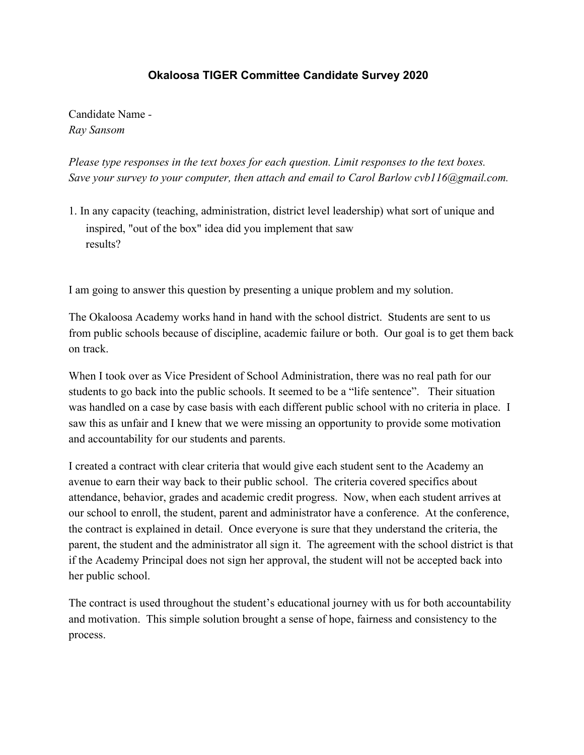## **Okaloosa TIGER Committee Candidate Survey 2020**

Candidate Name *- Ray Sansom*

*Please type responses in the text boxes for each question. Limit responses to the text boxes. Save your survey to your computer, then attach and email to Carol Barlow cvb116@gmail.com.*

1. In any capacity (teaching, administration, district level leadership) what sort of unique and inspired, "out of the box" idea did you implement that saw results?

I am going to answer this question by presenting a unique problem and my solution.

The Okaloosa Academy works hand in hand with the school district. Students are sent to us from public schools because of discipline, academic failure or both. Our goal is to get them back on track.

When I took over as Vice President of School Administration, there was no real path for our students to go back into the public schools. It seemed to be a "life sentence". Their situation was handled on a case by case basis with each different public school with no criteria in place. I saw this as unfair and I knew that we were missing an opportunity to provide some motivation and accountability for our students and parents.

I created a contract with clear criteria that would give each student sent to the Academy an avenue to earn their way back to their public school. The criteria covered specifics about attendance, behavior, grades and academic credit progress. Now, when each student arrives at our school to enroll, the student, parent and administrator have a conference. At the conference, the contract is explained in detail. Once everyone is sure that they understand the criteria, the parent, the student and the administrator all sign it. The agreement with the school district is that if the Academy Principal does not sign her approval, the student will not be accepted back into her public school.

The contract is used throughout the student's educational journey with us for both accountability and motivation. This simple solution brought a sense of hope, fairness and consistency to the process.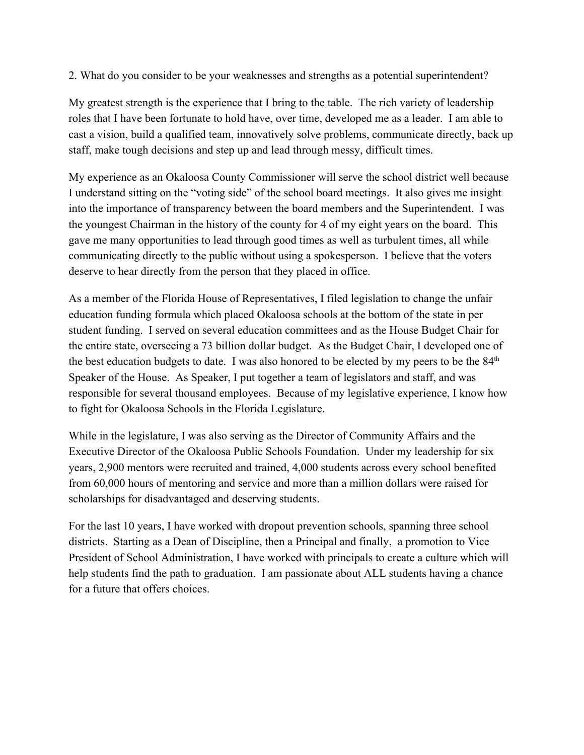2. What do you consider to be your weaknesses and strengths as a potential superintendent?

My greatest strength is the experience that I bring to the table. The rich variety of leadership roles that I have been fortunate to hold have, over time, developed me as a leader. I am able to cast a vision, build a qualified team, innovatively solve problems, communicate directly, back up staff, make tough decisions and step up and lead through messy, difficult times.

My experience as an Okaloosa County Commissioner will serve the school district well because I understand sitting on the "voting side" of the school board meetings. It also gives me insight into the importance of transparency between the board members and the Superintendent. I was the youngest Chairman in the history of the county for 4 of my eight years on the board. This gave me many opportunities to lead through good times as well as turbulent times, all while communicating directly to the public without using a spokesperson. I believe that the voters deserve to hear directly from the person that they placed in office.

As a member of the Florida House of Representatives, I filed legislation to change the unfair education funding formula which placed Okaloosa schools at the bottom of the state in per student funding. I served on several education committees and as the House Budget Chair for the entire state, overseeing a 73 billion dollar budget. As the Budget Chair, I developed one of the best education budgets to date. I was also honored to be elected by my peers to be the  $84<sup>th</sup>$ Speaker of the House. As Speaker, I put together a team of legislators and staff, and was responsible for several thousand employees. Because of my legislative experience, I know how to fight for Okaloosa Schools in the Florida Legislature.

While in the legislature, I was also serving as the Director of Community Affairs and the Executive Director of the Okaloosa Public Schools Foundation. Under my leadership for six years, 2,900 mentors were recruited and trained, 4,000 students across every school benefited from 60,000 hours of mentoring and service and more than a million dollars were raised for scholarships for disadvantaged and deserving students.

For the last 10 years, I have worked with dropout prevention schools, spanning three school districts. Starting as a Dean of Discipline, then a Principal and finally, a promotion to Vice President of School Administration, I have worked with principals to create a culture which will help students find the path to graduation. I am passionate about ALL students having a chance for a future that offers choices.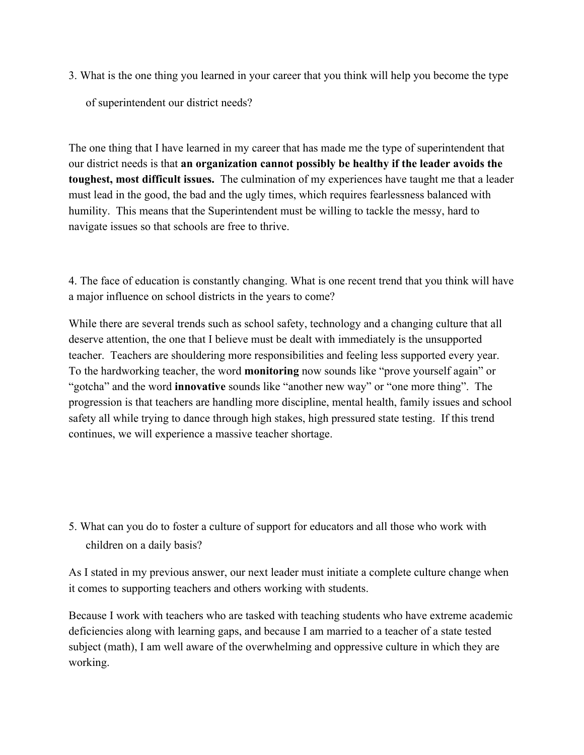3. What is the one thing you learned in your career that you think will help you become the type

of superintendent our district needs?

The one thing that I have learned in my career that has made me the type of superintendent that our district needs is that **an organization cannot possibly be healthy if the leader avoids the toughest, most difficult issues.** The culmination of my experiences have taught me that a leader must lead in the good, the bad and the ugly times, which requires fearlessness balanced with humility. This means that the Superintendent must be willing to tackle the messy, hard to navigate issues so that schools are free to thrive.

4. The face of education is constantly changing. What is one recent trend that you think will have a major influence on school districts in the years to come?

While there are several trends such as school safety, technology and a changing culture that all deserve attention, the one that I believe must be dealt with immediately is the unsupported teacher. Teachers are shouldering more responsibilities and feeling less supported every year. To the hardworking teacher, the word **monitoring** now sounds like "prove yourself again" or "gotcha" and the word **innovative** sounds like "another new way" or "one more thing". The progression is that teachers are handling more discipline, mental health, family issues and school safety all while trying to dance through high stakes, high pressured state testing. If this trend continues, we will experience a massive teacher shortage.

5. What can you do to foster a culture of support for educators and all those who work with children on a daily basis?

As I stated in my previous answer, our next leader must initiate a complete culture change when it comes to supporting teachers and others working with students.

Because I work with teachers who are tasked with teaching students who have extreme academic deficiencies along with learning gaps, and because I am married to a teacher of a state tested subject (math), I am well aware of the overwhelming and oppressive culture in which they are working.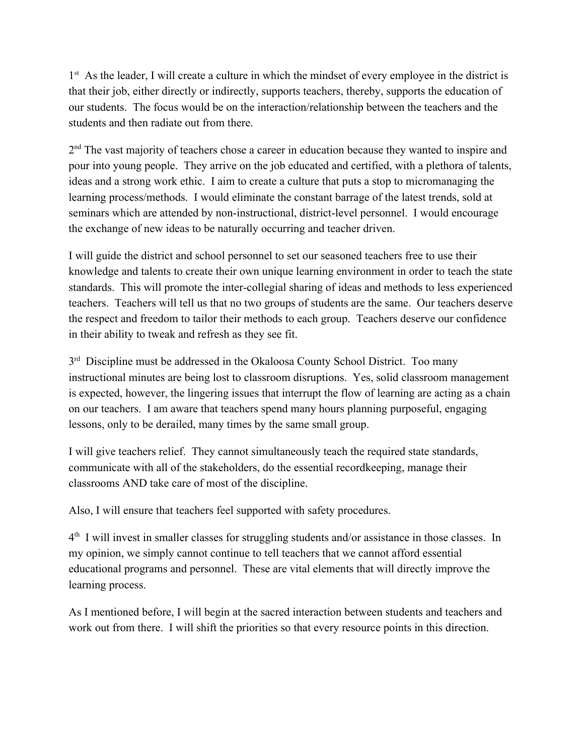1<sup>st</sup> As the leader, I will create a culture in which the mindset of every employee in the district is that their job, either directly or indirectly, supports teachers, thereby, supports the education of our students. The focus would be on the interaction/relationship between the teachers and the students and then radiate out from there.

2<sup>nd</sup> The vast majority of teachers chose a career in education because they wanted to inspire and pour into young people. They arrive on the job educated and certified, with a plethora of talents, ideas and a strong work ethic. I aim to create a culture that puts a stop to micromanaging the learning process/methods. I would eliminate the constant barrage of the latest trends, sold at seminars which are attended by non-instructional, district-level personnel. I would encourage the exchange of new ideas to be naturally occurring and teacher driven.

I will guide the district and school personnel to set our seasoned teachers free to use their knowledge and talents to create their own unique learning environment in order to teach the state standards. This will promote the inter-collegial sharing of ideas and methods to less experienced teachers. Teachers will tell us that no two groups of students are the same. Our teachers deserve the respect and freedom to tailor their methods to each group. Teachers deserve our confidence in their ability to tweak and refresh as they see fit.

3<sup>rd</sup> Discipline must be addressed in the Okaloosa County School District. Too many instructional minutes are being lost to classroom disruptions. Yes, solid classroom management is expected, however, the lingering issues that interrupt the flow of learning are acting as a chain on our teachers. I am aware that teachers spend many hours planning purposeful, engaging lessons, only to be derailed, many times by the same small group.

I will give teachers relief. They cannot simultaneously teach the required state standards, communicate with all of the stakeholders, do the essential recordkeeping, manage their classrooms AND take care of most of the discipline.

Also, I will ensure that teachers feel supported with safety procedures.

4<sup>th</sup> I will invest in smaller classes for struggling students and/or assistance in those classes. In my opinion, we simply cannot continue to tell teachers that we cannot afford essential educational programs and personnel. These are vital elements that will directly improve the learning process.

As I mentioned before, I will begin at the sacred interaction between students and teachers and work out from there. I will shift the priorities so that every resource points in this direction.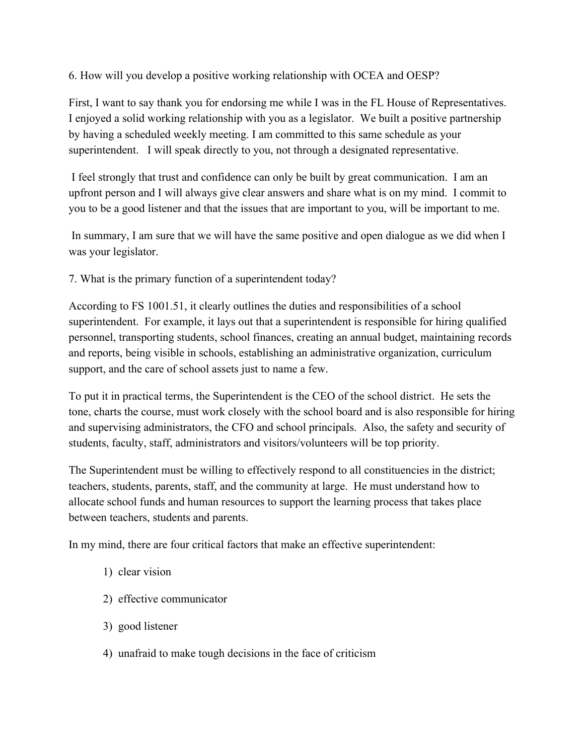6. How will you develop a positive working relationship with OCEA and OESP?

First, I want to say thank you for endorsing me while I was in the FL House of Representatives. I enjoyed a solid working relationship with you as a legislator. We built a positive partnership by having a scheduled weekly meeting. I am committed to this same schedule as your superintendent. I will speak directly to you, not through a designated representative.

 I feel strongly that trust and confidence can only be built by great communication. I am an upfront person and I will always give clear answers and share what is on my mind. I commit to you to be a good listener and that the issues that are important to you, will be important to me.

 In summary, I am sure that we will have the same positive and open dialogue as we did when I was your legislator.

7. What is the primary function of a superintendent today?

According to FS 1001.51, it clearly outlines the duties and responsibilities of a school superintendent. For example, it lays out that a superintendent is responsible for hiring qualified personnel, transporting students, school finances, creating an annual budget, maintaining records and reports, being visible in schools, establishing an administrative organization, curriculum support, and the care of school assets just to name a few.

To put it in practical terms, the Superintendent is the CEO of the school district. He sets the tone, charts the course, must work closely with the school board and is also responsible for hiring and supervising administrators, the CFO and school principals. Also, the safety and security of students, faculty, staff, administrators and visitors/volunteers will be top priority.

The Superintendent must be willing to effectively respond to all constituencies in the district; teachers, students, parents, staff, and the community at large. He must understand how to allocate school funds and human resources to support the learning process that takes place between teachers, students and parents.

In my mind, there are four critical factors that make an effective superintendent:

- 1) clear vision
- 2) effective communicator
- 3) good listener
- 4) unafraid to make tough decisions in the face of criticism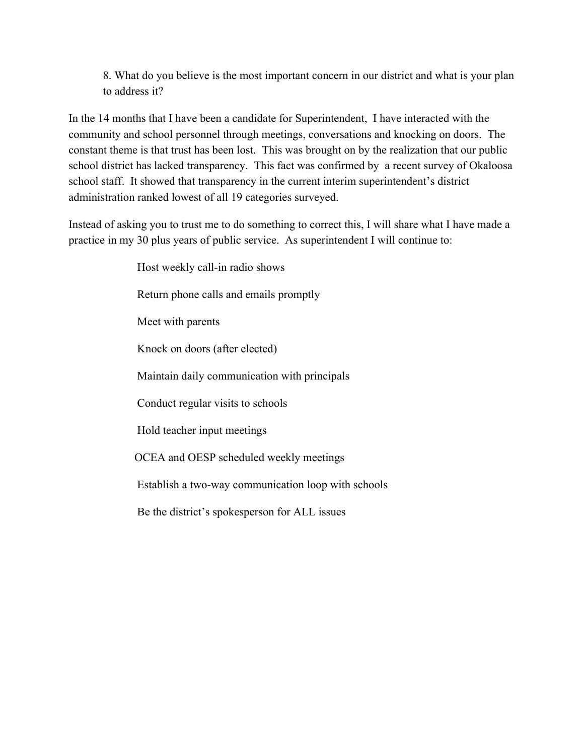8. What do you believe is the most important concern in our district and what is your plan to address it?

In the 14 months that I have been a candidate for Superintendent, I have interacted with the community and school personnel through meetings, conversations and knocking on doors. The constant theme is that trust has been lost. This was brought on by the realization that our public school district has lacked transparency. This fact was confirmed by a recent survey of Okaloosa school staff. It showed that transparency in the current interim superintendent's district administration ranked lowest of all 19 categories surveyed.

Instead of asking you to trust me to do something to correct this, I will share what I have made a practice in my 30 plus years of public service. As superintendent I will continue to:

> Host weekly call-in radio shows Return phone calls and emails promptly Meet with parents Knock on doors (after elected) Maintain daily communication with principals Conduct regular visits to schools Hold teacher input meetings OCEA and OESP scheduled weekly meetings Establish a two-way communication loop with schools Be the district's spokesperson for ALL issues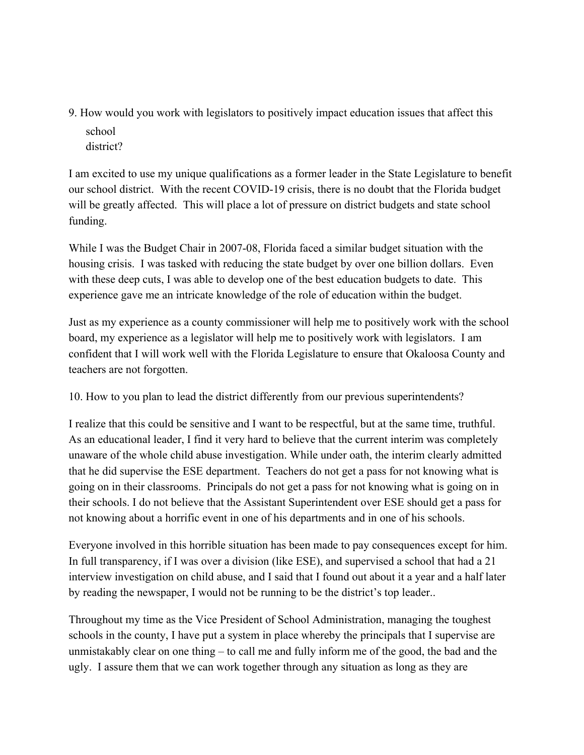9. How would you work with legislators to positively impact education issues that affect this school

district?

I am excited to use my unique qualifications as a former leader in the State Legislature to benefit our school district. With the recent COVID-19 crisis, there is no doubt that the Florida budget will be greatly affected. This will place a lot of pressure on district budgets and state school funding.

While I was the Budget Chair in 2007-08, Florida faced a similar budget situation with the housing crisis. I was tasked with reducing the state budget by over one billion dollars. Even with these deep cuts, I was able to develop one of the best education budgets to date. This experience gave me an intricate knowledge of the role of education within the budget.

Just as my experience as a county commissioner will help me to positively work with the school board, my experience as a legislator will help me to positively work with legislators. I am confident that I will work well with the Florida Legislature to ensure that Okaloosa County and teachers are not forgotten.

10. How to you plan to lead the district differently from our previous superintendents?

I realize that this could be sensitive and I want to be respectful, but at the same time, truthful. As an educational leader, I find it very hard to believe that the current interim was completely unaware of the whole child abuse investigation. While under oath, the interim clearly admitted that he did supervise the ESE department. Teachers do not get a pass for not knowing what is going on in their classrooms. Principals do not get a pass for not knowing what is going on in their schools. I do not believe that the Assistant Superintendent over ESE should get a pass for not knowing about a horrific event in one of his departments and in one of his schools.

Everyone involved in this horrible situation has been made to pay consequences except for him. In full transparency, if I was over a division (like ESE), and supervised a school that had a 21 interview investigation on child abuse, and I said that I found out about it a year and a half later by reading the newspaper, I would not be running to be the district's top leader..

Throughout my time as the Vice President of School Administration, managing the toughest schools in the county, I have put a system in place whereby the principals that I supervise are unmistakably clear on one thing – to call me and fully inform me of the good, the bad and the ugly. I assure them that we can work together through any situation as long as they are